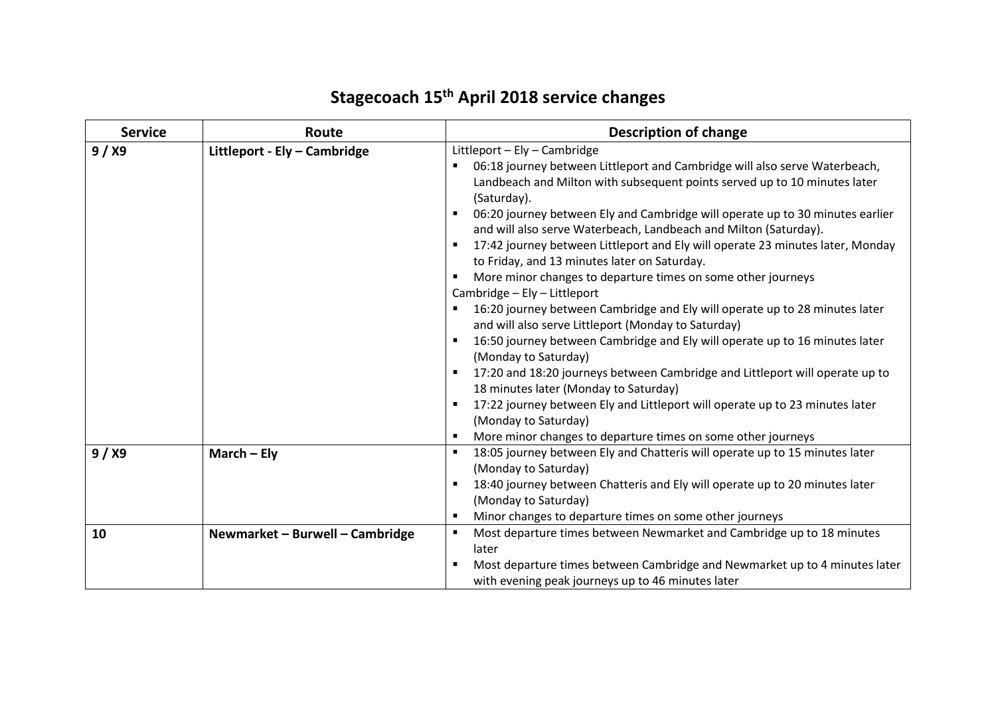## **Stagecoach 15th April 2018 service changes**

| <b>Service</b> | Route                           | <b>Description of change</b>                                                                                                                                                                                                                                                                                                                                                                                                                                                                                                                                                                                                                                                                                                                                                                                                                                                                                                                                                                                                                                                                                                                                                                        |
|----------------|---------------------------------|-----------------------------------------------------------------------------------------------------------------------------------------------------------------------------------------------------------------------------------------------------------------------------------------------------------------------------------------------------------------------------------------------------------------------------------------------------------------------------------------------------------------------------------------------------------------------------------------------------------------------------------------------------------------------------------------------------------------------------------------------------------------------------------------------------------------------------------------------------------------------------------------------------------------------------------------------------------------------------------------------------------------------------------------------------------------------------------------------------------------------------------------------------------------------------------------------------|
| 9/ X9          | Littleport - Ely - Cambridge    | Littleport - Ely - Cambridge<br>06:18 journey between Littleport and Cambridge will also serve Waterbeach,<br>Landbeach and Milton with subsequent points served up to 10 minutes later<br>(Saturday).<br>06:20 journey between Ely and Cambridge will operate up to 30 minutes earlier<br>and will also serve Waterbeach, Landbeach and Milton (Saturday).<br>17:42 journey between Littleport and Ely will operate 23 minutes later, Monday<br>to Friday, and 13 minutes later on Saturday.<br>More minor changes to departure times on some other journeys<br>п<br>Cambridge - Ely - Littleport<br>16:20 journey between Cambridge and Ely will operate up to 28 minutes later<br>٠<br>and will also serve Littleport (Monday to Saturday)<br>16:50 journey between Cambridge and Ely will operate up to 16 minutes later<br>$\blacksquare$<br>(Monday to Saturday)<br>17:20 and 18:20 journeys between Cambridge and Littleport will operate up to<br>п<br>18 minutes later (Monday to Saturday)<br>17:22 journey between Ely and Littleport will operate up to 23 minutes later<br>п<br>(Monday to Saturday)<br>More minor changes to departure times on some other journeys<br>$\blacksquare$ |
| 9/ X9          | March $-$ Ely                   | 18:05 journey between Ely and Chatteris will operate up to 15 minutes later<br>п<br>(Monday to Saturday)<br>18:40 journey between Chatteris and Ely will operate up to 20 minutes later<br>$\blacksquare$<br>(Monday to Saturday)<br>Minor changes to departure times on some other journeys<br>$\blacksquare$                                                                                                                                                                                                                                                                                                                                                                                                                                                                                                                                                                                                                                                                                                                                                                                                                                                                                      |
| 10             | Newmarket - Burwell - Cambridge | Most departure times between Newmarket and Cambridge up to 18 minutes<br>$\blacksquare$<br>later<br>Most departure times between Cambridge and Newmarket up to 4 minutes later<br>with evening peak journeys up to 46 minutes later                                                                                                                                                                                                                                                                                                                                                                                                                                                                                                                                                                                                                                                                                                                                                                                                                                                                                                                                                                 |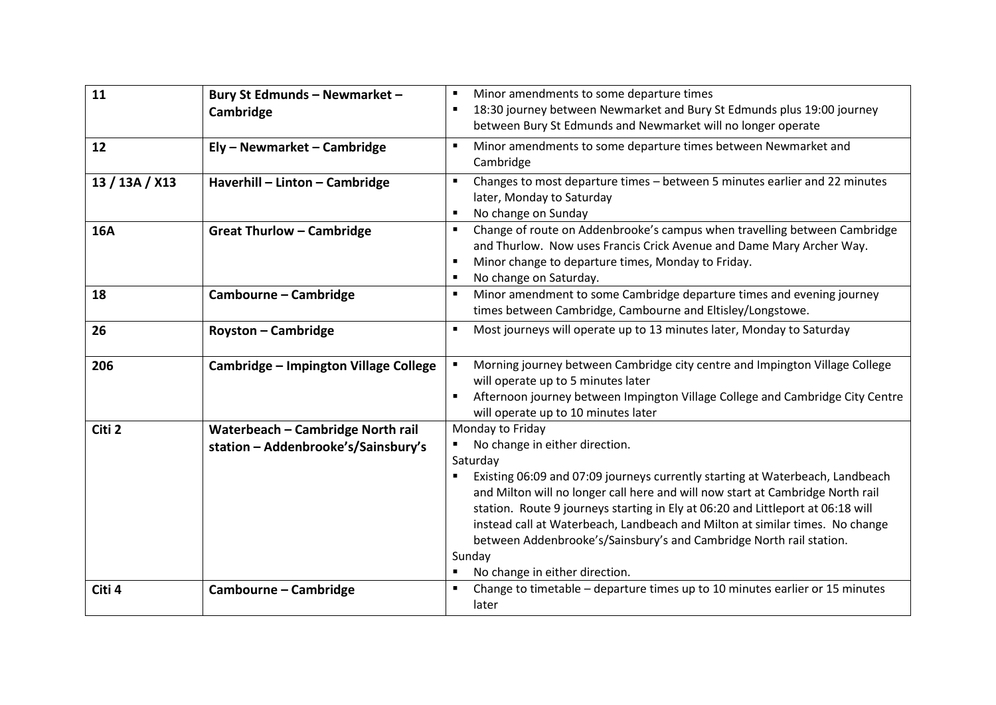| 11             | Bury St Edmunds - Newmarket -<br>Cambridge                               | Minor amendments to some departure times<br>$\blacksquare$<br>18:30 journey between Newmarket and Bury St Edmunds plus 19:00 journey<br>$\blacksquare$<br>between Bury St Edmunds and Newmarket will no longer operate                                                                                                                                                                                                                                                                                                  |
|----------------|--------------------------------------------------------------------------|-------------------------------------------------------------------------------------------------------------------------------------------------------------------------------------------------------------------------------------------------------------------------------------------------------------------------------------------------------------------------------------------------------------------------------------------------------------------------------------------------------------------------|
| 12             | Ely - Newmarket - Cambridge                                              | Minor amendments to some departure times between Newmarket and<br>٠<br>Cambridge                                                                                                                                                                                                                                                                                                                                                                                                                                        |
| 13 / 13A / X13 | Haverhill - Linton - Cambridge                                           | Changes to most departure times - between 5 minutes earlier and 22 minutes<br>$\blacksquare$<br>later, Monday to Saturday<br>No change on Sunday<br>п                                                                                                                                                                                                                                                                                                                                                                   |
| <b>16A</b>     | <b>Great Thurlow - Cambridge</b>                                         | Change of route on Addenbrooke's campus when travelling between Cambridge<br>$\blacksquare$<br>and Thurlow. Now uses Francis Crick Avenue and Dame Mary Archer Way.<br>Minor change to departure times, Monday to Friday.<br>$\blacksquare$<br>No change on Saturday.<br>п                                                                                                                                                                                                                                              |
| 18             | Cambourne - Cambridge                                                    | Minor amendment to some Cambridge departure times and evening journey<br>٠<br>times between Cambridge, Cambourne and Eltisley/Longstowe.                                                                                                                                                                                                                                                                                                                                                                                |
| 26             | <b>Royston - Cambridge</b>                                               | Most journeys will operate up to 13 minutes later, Monday to Saturday<br>$\blacksquare$                                                                                                                                                                                                                                                                                                                                                                                                                                 |
| 206            | Cambridge - Impington Village College                                    | Morning journey between Cambridge city centre and Impington Village College<br>will operate up to 5 minutes later<br>Afternoon journey between Impington Village College and Cambridge City Centre<br>will operate up to 10 minutes later                                                                                                                                                                                                                                                                               |
| Citi 2         | Waterbeach - Cambridge North rail<br>station - Addenbrooke's/Sainsbury's | Monday to Friday<br>No change in either direction.<br>Saturday<br>Existing 06:09 and 07:09 journeys currently starting at Waterbeach, Landbeach<br>and Milton will no longer call here and will now start at Cambridge North rail<br>station. Route 9 journeys starting in Ely at 06:20 and Littleport at 06:18 will<br>instead call at Waterbeach, Landbeach and Milton at similar times. No change<br>between Addenbrooke's/Sainsbury's and Cambridge North rail station.<br>Sunday<br>No change in either direction. |
| Citi 4         | Cambourne - Cambridge                                                    | Change to timetable - departure times up to 10 minutes earlier or 15 minutes<br>$\blacksquare$<br>later                                                                                                                                                                                                                                                                                                                                                                                                                 |